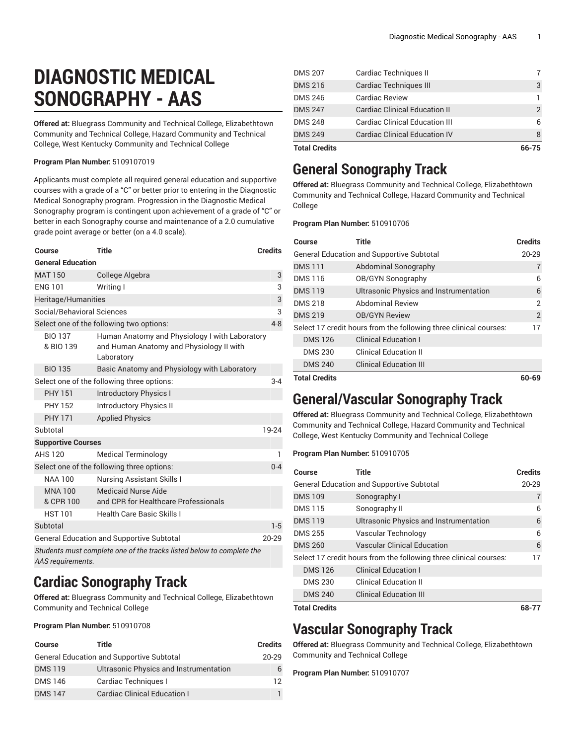# **DIAGNOSTIC MEDICAL SONOGRAPHY - AAS**

**Offered at:** Bluegrass Community and Technical College, Elizabethtown Community and Technical College, Hazard Community and Technical College, West Kentucky Community and Technical College

#### **Program Plan Number:** 5109107019

Applicants must complete all required general education and supportive courses with a grade of a "C" or better prior to entering in the Diagnostic Medical Sonography program. Progression in the Diagnostic Medical Sonography program is contingent upon achievement of a grade of "C" or better in each Sonography course and maintenance of a 2.0 cumulative grade point average or better (on a 4.0 scale).

| Course                      | <b>Title</b>                                                                                             | <b>Credits</b> |
|-----------------------------|----------------------------------------------------------------------------------------------------------|----------------|
| <b>General Education</b>    |                                                                                                          |                |
| <b>MAT 150</b>              | College Algebra                                                                                          | 3              |
| <b>ENG 101</b>              | Writing I                                                                                                | 3              |
| Heritage/Humanities         |                                                                                                          | 3              |
| Social/Behavioral Sciences  |                                                                                                          | 3              |
|                             | Select one of the following two options:                                                                 | $4 - 8$        |
| <b>BIO 137</b><br>& BIO 139 | Human Anatomy and Physiology I with Laboratory<br>and Human Anatomy and Physiology II with<br>Laboratory |                |
| <b>BIO 135</b>              | Basic Anatomy and Physiology with Laboratory                                                             |                |
|                             | Select one of the following three options:                                                               | $3 - 4$        |
| <b>PHY 151</b>              | <b>Introductory Physics I</b>                                                                            |                |
| <b>PHY 152</b>              | <b>Introductory Physics II</b>                                                                           |                |
| <b>PHY 171</b>              | <b>Applied Physics</b>                                                                                   |                |
| Subtotal                    |                                                                                                          | 19-24          |
| <b>Supportive Courses</b>   |                                                                                                          |                |
| <b>AHS 120</b>              | <b>Medical Terminology</b>                                                                               | 1              |
|                             | Select one of the following three options:                                                               | $0 - 4$        |
| <b>NAA 100</b>              | <b>Nursing Assistant Skills I</b>                                                                        |                |
| <b>MNA100</b><br>& CPR 100  | Medicaid Nurse Aide<br>and CPR for Healthcare Professionals                                              |                |
| <b>HST 101</b>              | <b>Health Care Basic Skills I</b>                                                                        |                |
| Subtotal                    |                                                                                                          | $1 - 5$        |
|                             | <b>General Education and Supportive Subtotal</b>                                                         | $20 - 29$      |
| AAS requirements.           | Students must complete one of the tracks listed below to complete the                                    |                |

### **Cardiac Sonography Track**

**Offered at:** Bluegrass Community and Technical College, Elizabethtown Community and Technical College

#### **Program Plan Number:** 510910708

| Course         | Title                                            | <b>Credits</b> |
|----------------|--------------------------------------------------|----------------|
|                | <b>General Education and Supportive Subtotal</b> | $20 - 29$      |
| <b>DMS119</b>  | Ultrasonic Physics and Instrumentation           | 6              |
| <b>DMS 146</b> | Cardiac Techniques I                             | 12             |
| <b>DMS147</b>  | Cardiac Clinical Education I                     |                |

| <b>Total Credits</b> |                                      | 66-75 |
|----------------------|--------------------------------------|-------|
| <b>DMS 249</b>       | <b>Cardiac Clinical Education IV</b> |       |
| <b>DMS 248</b>       | Cardiac Clinical Education III       | 6     |
| <b>DMS 247</b>       | <b>Cardiac Clinical Education II</b> | 2     |
| <b>DMS 246</b>       | <b>Cardiac Review</b>                |       |
| <b>DMS 216</b>       | <b>Cardiac Techniques III</b>        | 3     |
| <b>DMS 207</b>       | Cardiac Techniques II                |       |

## **General Sonography Track**

**Offered at:** Bluegrass Community and Technical College, Elizabethtown Community and Technical College, Hazard Community and Technical College

**Program Plan Number:** 510910706

| <b>Course</b>                                                     | <b>Title</b>                                  | <b>Credits</b> |
|-------------------------------------------------------------------|-----------------------------------------------|----------------|
| General Education and Supportive Subtotal                         |                                               | $20 - 29$      |
| <b>DMS111</b>                                                     | Abdominal Sonography                          | $\overline{7}$ |
| <b>DMS116</b>                                                     | OB/GYN Sonography                             | 6              |
| <b>DMS119</b>                                                     | <b>Ultrasonic Physics and Instrumentation</b> | 6              |
| <b>DMS 218</b>                                                    | <b>Abdominal Review</b>                       | $\overline{2}$ |
| <b>DMS 219</b>                                                    | <b>OB/GYN Review</b>                          | 2              |
| Select 17 credit hours from the following three clinical courses: |                                               | 17             |
| <b>DMS126</b>                                                     | <b>Clinical Education I</b>                   |                |
| <b>DMS 230</b>                                                    | <b>Clinical Education II</b>                  |                |
| <b>DMS 240</b>                                                    | <b>Clinical Education III</b>                 |                |
| <b>Total Credits</b>                                              |                                               | 60-69          |

### **General/Vascular Sonography Track**

**Offered at:** Bluegrass Community and Technical College, Elizabethtown Community and Technical College, Hazard Community and Technical College, West Kentucky Community and Technical College

### **Program Plan Number:** 510910705

| Course                                    | <b>Title</b>                                                      | <b>Credits</b> |
|-------------------------------------------|-------------------------------------------------------------------|----------------|
| General Education and Supportive Subtotal |                                                                   | $20 - 29$      |
| <b>DMS109</b>                             | Sonography I                                                      | 7              |
| <b>DMS115</b>                             | Sonography II                                                     | 6              |
| <b>DMS119</b>                             | Ultrasonic Physics and Instrumentation                            | 6              |
| <b>DMS 255</b>                            | Vascular Technology                                               | 6              |
| <b>DMS 260</b>                            | <b>Vascular Clinical Education</b>                                | 6              |
|                                           | Select 17 credit hours from the following three clinical courses: | 17             |
| <b>DMS126</b>                             | <b>Clinical Education I</b>                                       |                |
| <b>DMS 230</b>                            | <b>Clinical Education II</b>                                      |                |
| <b>DMS 240</b>                            | <b>Clinical Education III</b>                                     |                |
| <b>Total Credits</b>                      |                                                                   | 68-77          |

### **Vascular Sonography Track**

**Offered at:** Bluegrass Community and Technical College, Elizabethtown Community and Technical College

#### **Program Plan Number:** 510910707